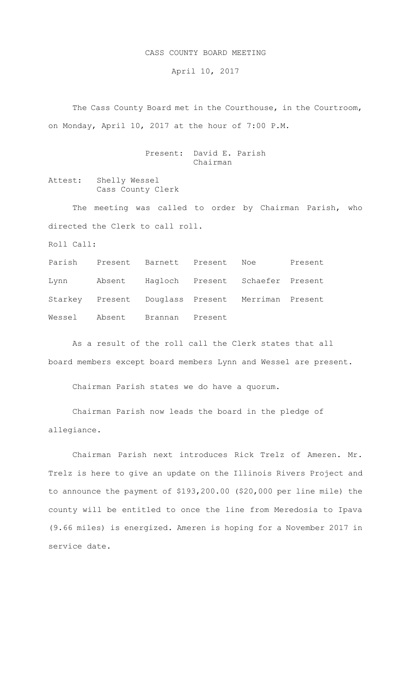## CASS COUNTY BOARD MEETING

April 10, 2017

 The Cass County Board met in the Courthouse, in the Courtroom, on Monday, April 10, 2017 at the hour of 7:00 P.M.

> Present: David E. Parish Chairman

Attest: Shelly Wessel Cass County Clerk

The meeting was called to order by Chairman Parish, who directed the Clerk to call roll.

Roll Call:

Parish Present Barnett Present Noe Present Lynn Absent Hagloch Present Schaefer Present Starkey Present Douglass Present Merriman Present Wessel Absent Brannan Present

As a result of the roll call the Clerk states that all board members except board members Lynn and Wessel are present.

Chairman Parish states we do have a quorum.

Chairman Parish now leads the board in the pledge of allegiance.

Chairman Parish next introduces Rick Trelz of Ameren. Mr. Trelz is here to give an update on the Illinois Rivers Project and to announce the payment of \$193,200.00 (\$20,000 per line mile) the county will be entitled to once the line from Meredosia to Ipava (9.66 miles) is energized. Ameren is hoping for a November 2017 in service date.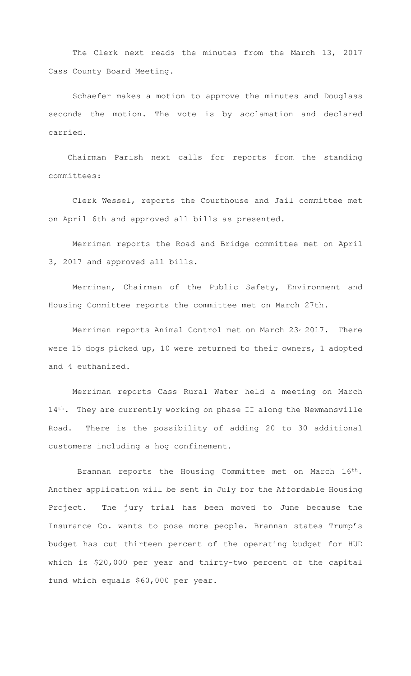The Clerk next reads the minutes from the March 13, 2017 Cass County Board Meeting.

Schaefer makes a motion to approve the minutes and Douglass seconds the motion. The vote is by acclamation and declared carried.

 Chairman Parish next calls for reports from the standing committees:

Clerk Wessel, reports the Courthouse and Jail committee met on April 6th and approved all bills as presented.

Merriman reports the Road and Bridge committee met on April 3, 2017 and approved all bills.

Merriman, Chairman of the Public Safety, Environment and Housing Committee reports the committee met on March 27th.

Merriman reports Animal Control met on March 23, 2017. There were 15 dogs picked up, 10 were returned to their owners, 1 adopted and 4 euthanized.

Merriman reports Cass Rural Water held a meeting on March 14<sup>th</sup>. They are currently working on phase II along the Newmansville Road. There is the possibility of adding 20 to 30 additional customers including a hog confinement.

Brannan reports the Housing Committee met on March 16th. Another application will be sent in July for the Affordable Housing Project. The jury trial has been moved to June because the Insurance Co. wants to pose more people. Brannan states Trump's budget has cut thirteen percent of the operating budget for HUD which is \$20,000 per year and thirty-two percent of the capital fund which equals \$60,000 per year.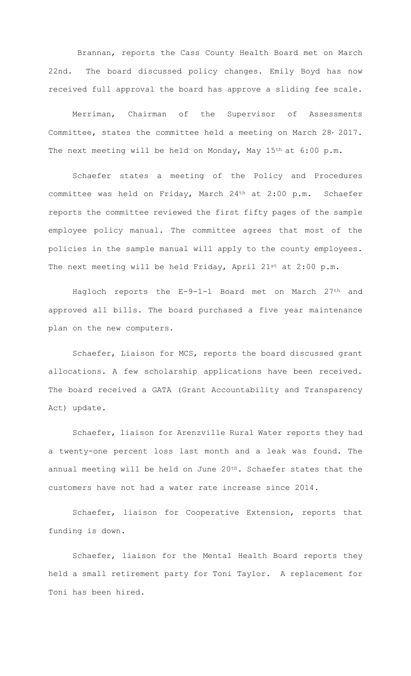Brannan, reports the Cass County Health Board met on March 22nd. The board discussed policy changes. Emily Boyd has now received full approval the board has approve a sliding fee scale.

Merriman, Chairman of the Supervisor of Assessments Committee, states the committee held a meeting on March 28, 2017. The next meeting will be held on Monday, May 15<sup>th</sup> at 6:00 p.m.

Schaefer states a meeting of the Policy and Procedures committee was held on Friday, March 24th at 2:00 p.m. Schaefer reports the committee reviewed the first fifty pages of the sample employee policy manual. The committee agrees that most of the policies in the sample manual will apply to the county employees. The next meeting will be held Friday, April 21st at 2:00 p.m.

Hagloch reports the E-9-1-1 Board met on March 27<sup>th</sup> and approved all bills. The board purchased a five year maintenance plan on the new computers.

Schaefer, Liaison for MCS, reports the board discussed grant allocations. A few scholarship applications have been received. The board received a GATA (Grant Accountability and Transparency Act) update.

Schaefer, liaison for Arenzville Rural Water reports they had a twenty-one percent loss last month and a leak was found. The annual meeting will be held on June 20th. Schaefer states that the customers have not had a water rate increase since 2014.

Schaefer, liaison for Cooperative Extension, reports that funding is down.

Schaefer, liaison for the Mental Health Board reports they held a small retirement party for Toni Taylor. A replacement for Toni has been hired.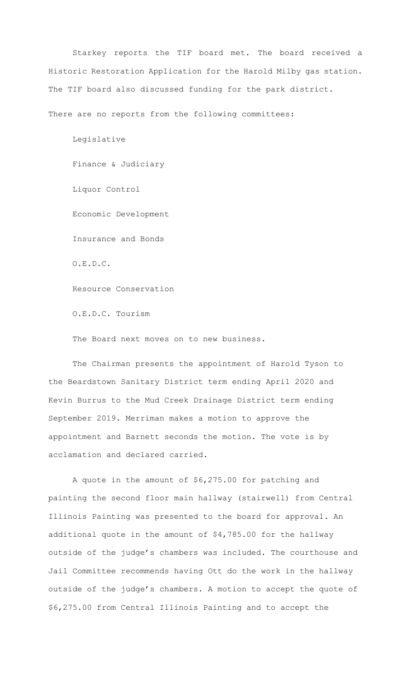Starkey reports the TIF board met. The board received a Historic Restoration Application for the Harold Milby gas station. The TIF board also discussed funding for the park district.

There are no reports from the following committees:

Legislative Finance & Judiciary Liquor Control Economic Development Insurance and Bonds O.E.D.C. Resource Conservation O.E.D.C. Tourism

The Board next moves on to new business.

 The Chairman presents the appointment of Harold Tyson to the Beardstown Sanitary District term ending April 2020 and Kevin Burrus to the Mud Creek Drainage District term ending September 2019. Merriman makes a motion to approve the appointment and Barnett seconds the motion. The vote is by acclamation and declared carried.

A quote in the amount of \$6,275.00 for patching and painting the second floor main hallway (stairwell) from Central Illinois Painting was presented to the board for approval. An additional quote in the amount of \$4,785.00 for the hallway outside of the judge's chambers was included. The courthouse and Jail Committee recommends having Ott do the work in the hallway outside of the judge's chambers. A motion to accept the quote of \$6,275.00 from Central Illinois Painting and to accept the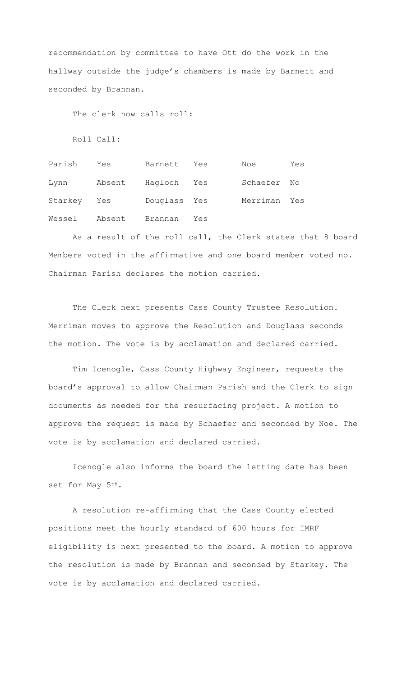recommendation by committee to have Ott do the work in the hallway outside the judge's chambers is made by Barnett and seconded by Brannan.

The clerk now calls roll:

Roll Call:

Parish Yes Barnett Yes Noe Yes Lynn Absent Hagloch Yes Schaefer No Starkey Yes Douglass Yes Merriman Yes Wessel Absent Brannan Yes

As a result of the roll call, the Clerk states that 8 board Members voted in the affirmative and one board member voted no. Chairman Parish declares the motion carried.

The Clerk next presents Cass County Trustee Resolution. Merriman moves to approve the Resolution and Douglass seconds the motion. The vote is by acclamation and declared carried.

Tim Icenogle, Cass County Highway Engineer, requests the board's approval to allow Chairman Parish and the Clerk to sign documents as needed for the resurfacing project. A motion to approve the request is made by Schaefer and seconded by Noe. The vote is by acclamation and declared carried.

Icenogle also informs the board the letting date has been set for May 5th.

A resolution re-affirming that the Cass County elected positions meet the hourly standard of 600 hours for IMRF eligibility is next presented to the board. A motion to approve the resolution is made by Brannan and seconded by Starkey. The vote is by acclamation and declared carried.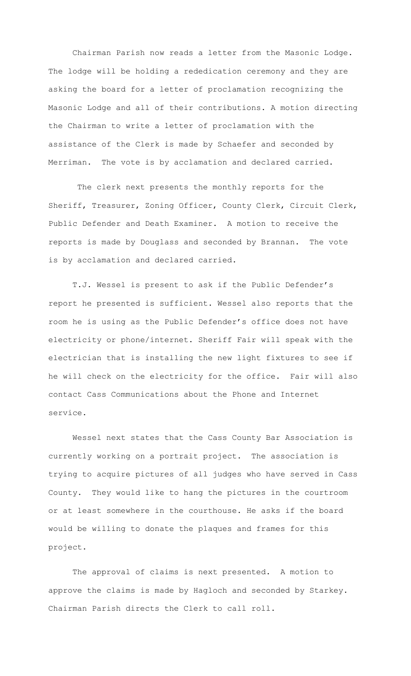Chairman Parish now reads a letter from the Masonic Lodge. The lodge will be holding a rededication ceremony and they are asking the board for a letter of proclamation recognizing the Masonic Lodge and all of their contributions. A motion directing the Chairman to write a letter of proclamation with the assistance of the Clerk is made by Schaefer and seconded by Merriman. The vote is by acclamation and declared carried.

The clerk next presents the monthly reports for the Sheriff, Treasurer, Zoning Officer, County Clerk, Circuit Clerk, Public Defender and Death Examiner. A motion to receive the reports is made by Douglass and seconded by Brannan. The vote is by acclamation and declared carried.

T.J. Wessel is present to ask if the Public Defender's report he presented is sufficient. Wessel also reports that the room he is using as the Public Defender's office does not have electricity or phone/internet. Sheriff Fair will speak with the electrician that is installing the new light fixtures to see if he will check on the electricity for the office. Fair will also contact Cass Communications about the Phone and Internet service.

Wessel next states that the Cass County Bar Association is currently working on a portrait project. The association is trying to acquire pictures of all judges who have served in Cass County. They would like to hang the pictures in the courtroom or at least somewhere in the courthouse. He asks if the board would be willing to donate the plaques and frames for this project.

The approval of claims is next presented. A motion to approve the claims is made by Hagloch and seconded by Starkey. Chairman Parish directs the Clerk to call roll.